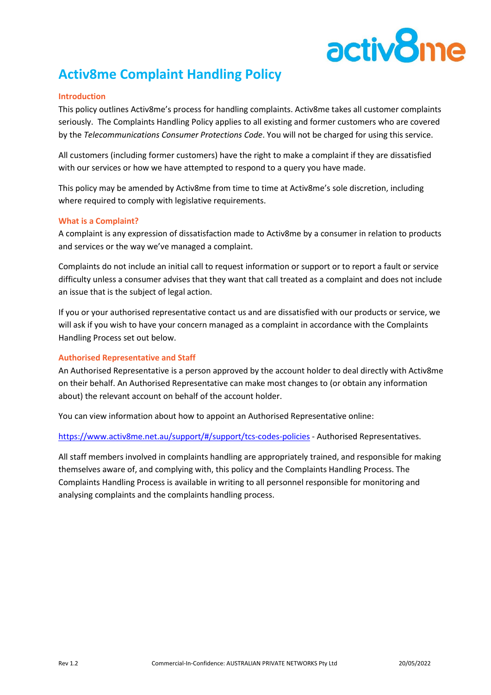# activ<sup>8</sup>n

# **Activ8me Complaint Handling Policy**

#### **Introduction**

This policy outlines Activ8me's process for handling complaints. Activ8me takes all customer complaints seriously. The Complaints Handling Policy applies to all existing and former customers who are covered by the *Telecommunications Consumer Protections Code*. You will not be charged for using this service.

All customers (including former customers) have the right to make a complaint if they are dissatisfied with our services or how we have attempted to respond to a query you have made.

This policy may be amended by Activ8me from time to time at Activ8me's sole discretion, including where required to comply with legislative requirements.

#### **What is a Complaint?**

A complaint is any expression of dissatisfaction made to Activ8me by a consumer in relation to products and services or the way we've managed a complaint.

Complaints do not include an initial call to request information or support or to report a fault or service difficulty unless a consumer advises that they want that call treated as a complaint and does not include an issue that is the subject of legal action.

If you or your authorised representative contact us and are dissatisfied with our products or service, we will ask if you wish to have your concern managed as a complaint in accordance with the Complaints Handling Process set out below.

# **Authorised Representative and Staff**

An Authorised Representative is a person approved by the account holder to deal directly with Activ8me on their behalf. An Authorised Representative can make most changes to (or obtain any information about) the relevant account on behalf of the account holder.

You can view information about how to appoint an Authorised Representative online:

<https://www.activ8me.net.au/support/#/support/tcs-codes-policies> - Authorised Representatives.

All staff members involved in complaints handling are appropriately trained, and responsible for making themselves aware of, and complying with, this policy and the Complaints Handling Process. The Complaints Handling Process is available in writing to all personnel responsible for monitoring and analysing complaints and the complaints handling process.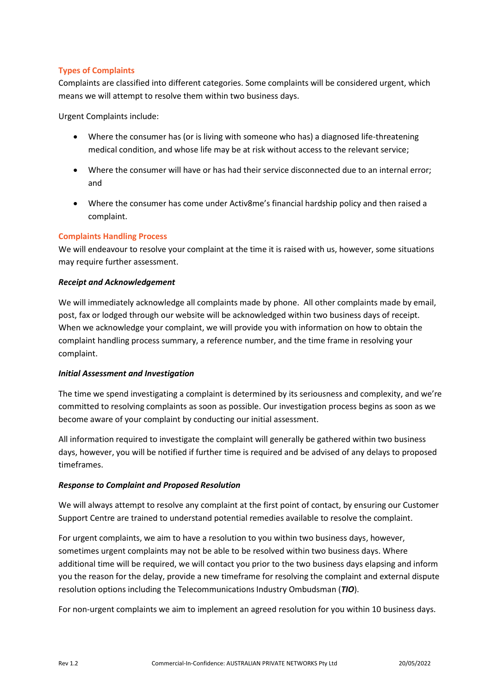# **Types of Complaints**

Complaints are classified into different categories. Some complaints will be considered urgent, which means we will attempt to resolve them within two business days.

Urgent Complaints include:

- Where the consumer has (or is living with someone who has) a diagnosed life-threatening medical condition, and whose life may be at risk without access to the relevant service;
- Where the consumer will have or has had their service disconnected due to an internal error; and
- Where the consumer has come under Activ8me's financial hardship policy and then raised a complaint.

### **Complaints Handling Process**

We will endeavour to resolve your complaint at the time it is raised with us, however, some situations may require further assessment.

#### *Receipt and Acknowledgement*

We will immediately acknowledge all complaints made by phone. All other complaints made by email, post, fax or lodged through our website will be acknowledged within two business days of receipt. When we acknowledge your complaint, we will provide you with information on how to obtain the complaint handling process summary, a reference number, and the time frame in resolving your complaint.

#### *Initial Assessment and Investigation*

The time we spend investigating a complaint is determined by its seriousness and complexity, and we're committed to resolving complaints as soon as possible. Our investigation process begins as soon as we become aware of your complaint by conducting our initial assessment.

All information required to investigate the complaint will generally be gathered within two business days, however, you will be notified if further time is required and be advised of any delays to proposed timeframes.

#### *Response to Complaint and Proposed Resolution*

We will always attempt to resolve any complaint at the first point of contact, by ensuring our Customer Support Centre are trained to understand potential remedies available to resolve the complaint.

For urgent complaints, we aim to have a resolution to you within two business days, however, sometimes urgent complaints may not be able to be resolved within two business days. Where additional time will be required, we will contact you prior to the two business days elapsing and inform you the reason for the delay, provide a new timeframe for resolving the complaint and external dispute resolution options including the Telecommunications Industry Ombudsman (*TIO*).

For non-urgent complaints we aim to implement an agreed resolution for you within 10 business days.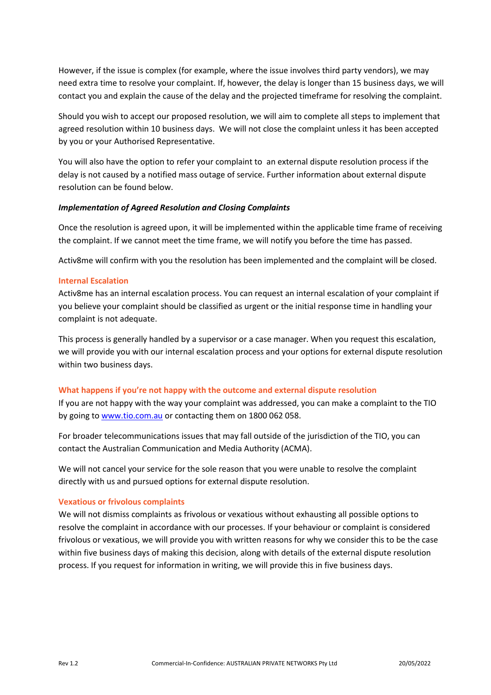However, if the issue is complex (for example, where the issue involves third party vendors), we may need extra time to resolve your complaint. If, however, the delay is longer than 15 business days, we will contact you and explain the cause of the delay and the projected timeframe for resolving the complaint.

Should you wish to accept our proposed resolution, we will aim to complete all steps to implement that agreed resolution within 10 business days. We will not close the complaint unless it has been accepted by you or your Authorised Representative.

You will also have the option to refer your complaint to an external dispute resolution process if the delay is not caused by a notified mass outage of service. Further information about external dispute resolution can be found below.

#### *Implementation of Agreed Resolution and Closing Complaints*

Once the resolution is agreed upon, it will be implemented within the applicable time frame of receiving the complaint. If we cannot meet the time frame, we will notify you before the time has passed.

Activ8me will confirm with you the resolution has been implemented and the complaint will be closed.

#### **Internal Escalation**

Activ8me has an internal escalation process. You can request an internal escalation of your complaint if you believe your complaint should be classified as urgent or the initial response time in handling your complaint is not adequate.

This process is generally handled by a supervisor or a case manager. When you request this escalation, we will provide you with our internal escalation process and your options for external dispute resolution within two business days.

#### **What happens if you're not happy with the outcome and external dispute resolution**

If you are not happy with the way your complaint was addressed, you can make a complaint to the TIO by going to [www.tio.com.au](http://www.tio.com.au/) or contacting them on 1800 062 058.

For broader telecommunications issues that may fall outside of the jurisdiction of the TIO, you can contact the Australian Communication and Media Authority (ACMA).

We will not cancel your service for the sole reason that you were unable to resolve the complaint directly with us and pursued options for external dispute resolution.

#### **Vexatious or frivolous complaints**

We will not dismiss complaints as frivolous or vexatious without exhausting all possible options to resolve the complaint in accordance with our processes. If your behaviour or complaint is considered frivolous or vexatious, we will provide you with written reasons for why we consider this to be the case within five business days of making this decision, along with details of the external dispute resolution process. If you request for information in writing, we will provide this in five business days.